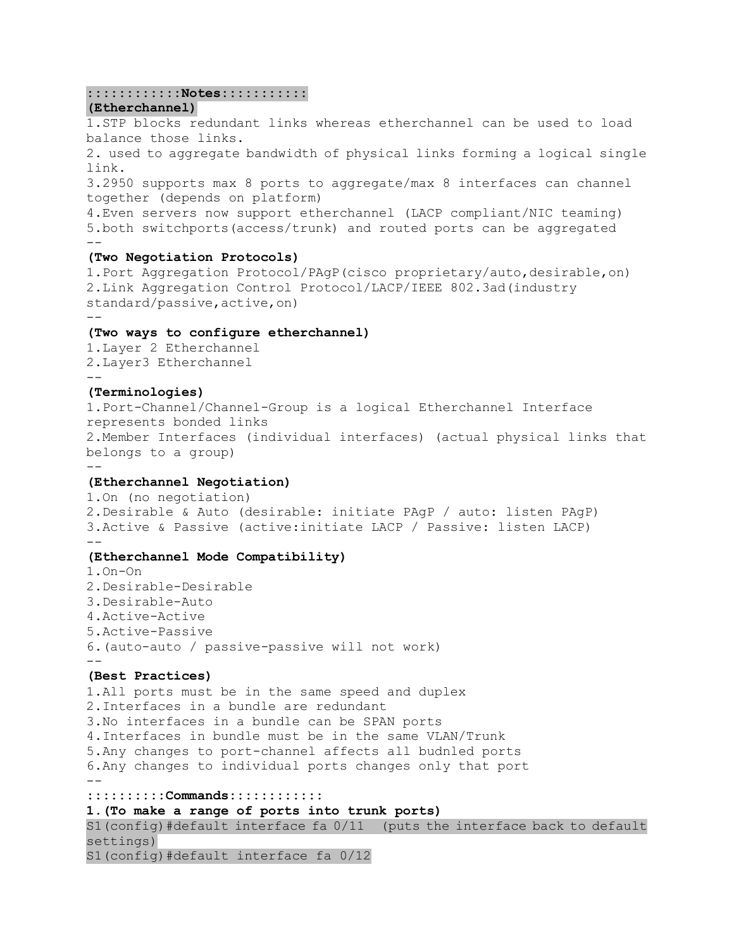### **::::::::::::Notes:::::::::::**

#### **(Etherchannel)**

balance those links. 2. used to aggregate bandwidth of physical links forming a logical single link. 3.2950 supports max 8 ports to aggregate/max 8 interfaces can channel together (depends on platform) 4.Even servers now support etherchannel (LACP compliant/NIC teaming) 5.both switchports(access/trunk) and routed ports can be aggregated -- **(Two Negotiation Protocols)** 1.Port Aggregation Protocol/PAgP(cisco proprietary/auto,desirable,on) 2.Link Aggregation Control Protocol/LACP/IEEE 802.3ad(industry standard/passive, active, on) -- **(Two ways to configure etherchannel)** 1.Layer 2 Etherchannel 2.Layer3 Etherchannel -- **(Terminologies)** 1.Port-Channel/Channel-Group is a logical Etherchannel Interface represents bonded links 2.Member Interfaces (individual interfaces) (actual physical links that belongs to a group) -- **(Etherchannel Negotiation)** 1.On (no negotiation) 2.Desirable & Auto (desirable: initiate PAgP / auto: listen PAgP) 3.Active & Passive (active:initiate LACP / Passive: listen LACP) -- **(Etherchannel Mode Compatibility)** 1.On-On 2.Desirable-Desirable 3.Desirable-Auto 4.Active-Active 5.Active-Passive 6.(auto-auto / passive-passive will not work)  $-$ **(Best Practices)** 1.All ports must be in the same speed and duplex 2.Interfaces in a bundle are redundant 3.No interfaces in a bundle can be SPAN ports 4.Interfaces in bundle must be in the same VLAN/Trunk 5.Any changes to port-channel affects all budnled ports 6.Any changes to individual ports changes only that port  $-$ **::::::::::Commands:::::::::::: 1.(To make a range of ports into trunk ports)** S1(config)#default interface fa 0/11 (puts the interface back to default settings) S1(config)#default interface fa 0/12

1.STP blocks redundant links whereas etherchannel can be used to load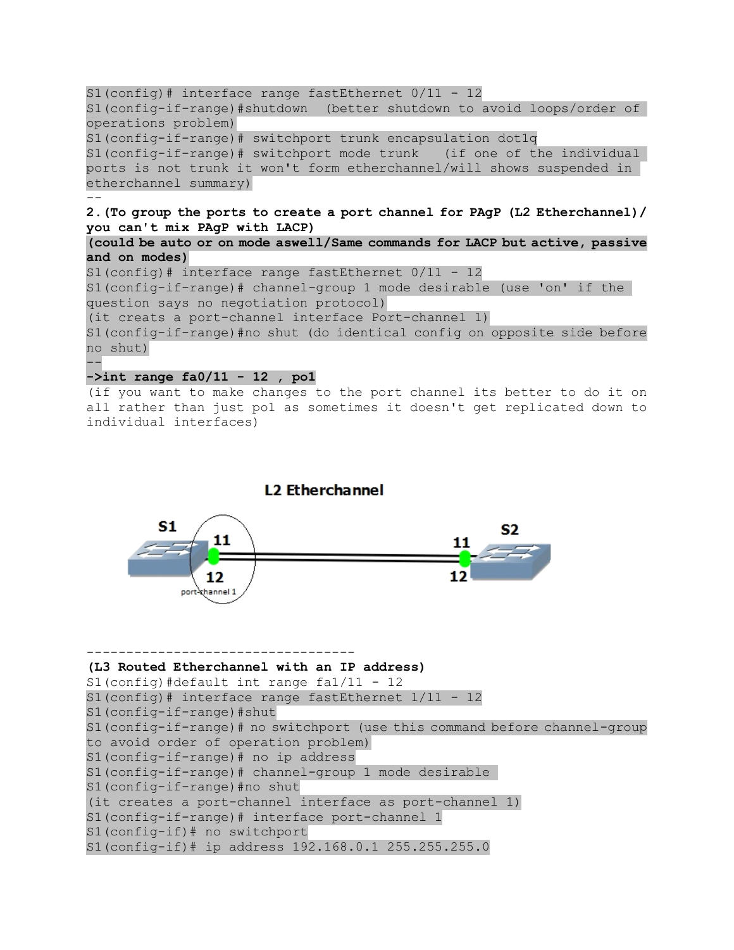```
S1(config)# interface range fastEthernet 0/11 - 12
S1(config-if-range)#shutdown (better shutdown to avoid loops/order of 
operations problem)
S1(config-if-range)# switchport trunk encapsulation dot1q
S1(config-if-range)# switchport mode trunk (if one of the individual 
ports is not trunk it won't form etherchannel/will shows suspended in 
etherchannel summary)
--
2.(To group the ports to create a port channel for PAgP (L2 Etherchannel)/ 
you can't mix PAgP with LACP)
(could be auto or on mode aswell/Same commands for LACP but active, passive 
and on modes)
S1(config)# interface range fastEthernet 0/11 - 12
S1(config-if-range)# channel-group 1 mode desirable (use 'on' if the 
question says no negotiation protocol)
(it creats a port-channel interface Port-channel 1)
S1(config-if-range)#no shut (do identical config on opposite side before 
no shut)
--
->int range fa0/11 - 12 , po1
```

```
(if you want to make changes to the port channel its better to do it on 
all rather than just po1 as sometimes it doesn't get replicated down to 
individual interfaces)
```
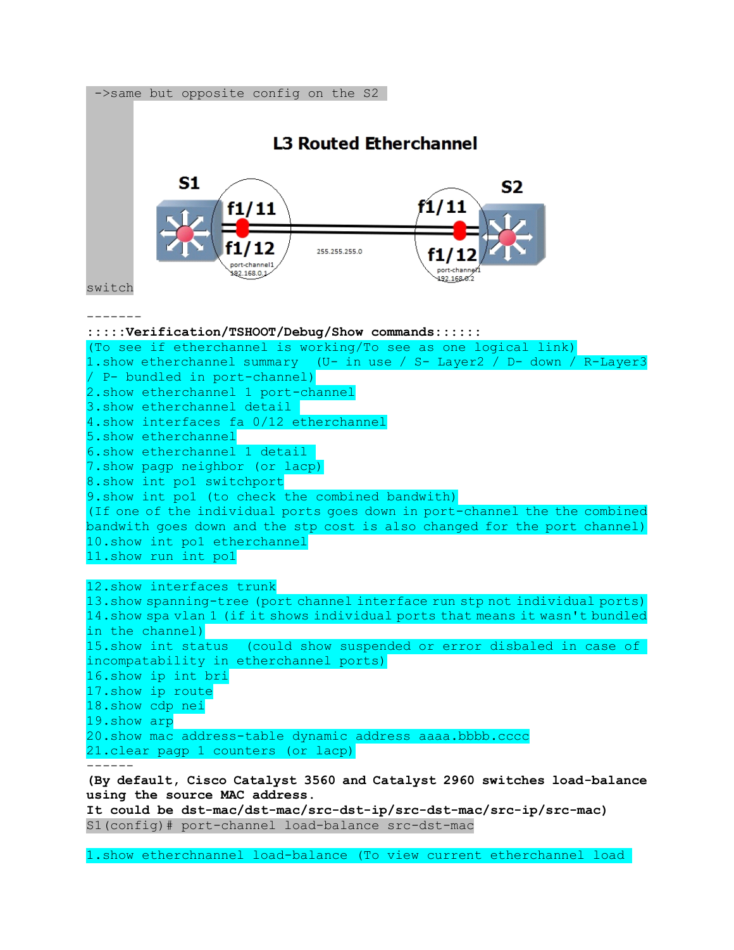

**It could be dst-mac/dst-mac/src-dst-ip/src-dst-mac/src-ip/src-mac)** S1(config)# port-channel load-balance src-dst-mac

1.show etherchnannel load-balance (To view current etherchannel load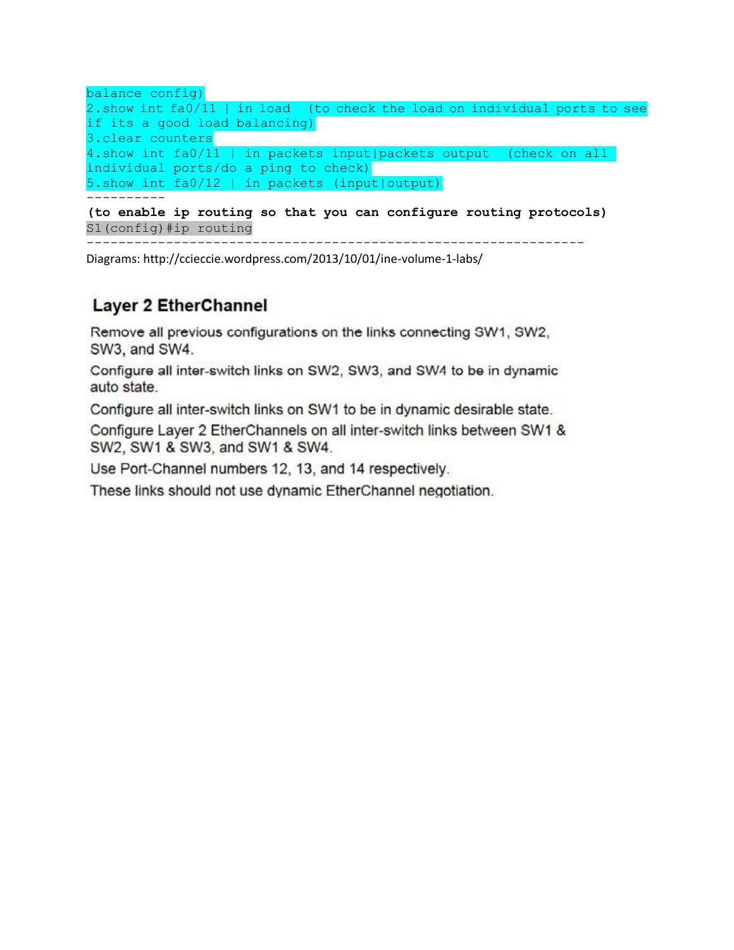```
balance config)
2.show int fa0/11 | in load (to check the load on individual ports to see 
if its a good load balancing)
3.clear counters
4.show int fa0/11 | in packets input|packets output (check on all 
individual ports/do a ping to check)
5.show int fa0/12 | in packets (input|output)
-----------<br>----------
```
**(to enable ip routing so that you can configure routing protocols)** S1(config)#ip routing

---------------------------------------------------------------

Diagrams[: http://ccieccie.wordpress.com/2013/10/01/ine-volume-1-labs/](http://ccieccie.wordpress.com/2013/10/01/ine-volume-1-labs/)

## **Layer 2 EtherChannel**

Remove all previous configurations on the links connecting SW1, SW2, SW3, and SW4.

Configure all inter-switch links on SW2, SW3, and SW4 to be in dynamic auto state.

Configure all inter-switch links on SW1 to be in dynamic desirable state.

Configure Layer 2 EtherChannels on all inter-switch links between SW1 & SW2, SW1 & SW3, and SW1 & SW4.

Use Port-Channel numbers 12, 13, and 14 respectively.

These links should not use dynamic EtherChannel negotiation.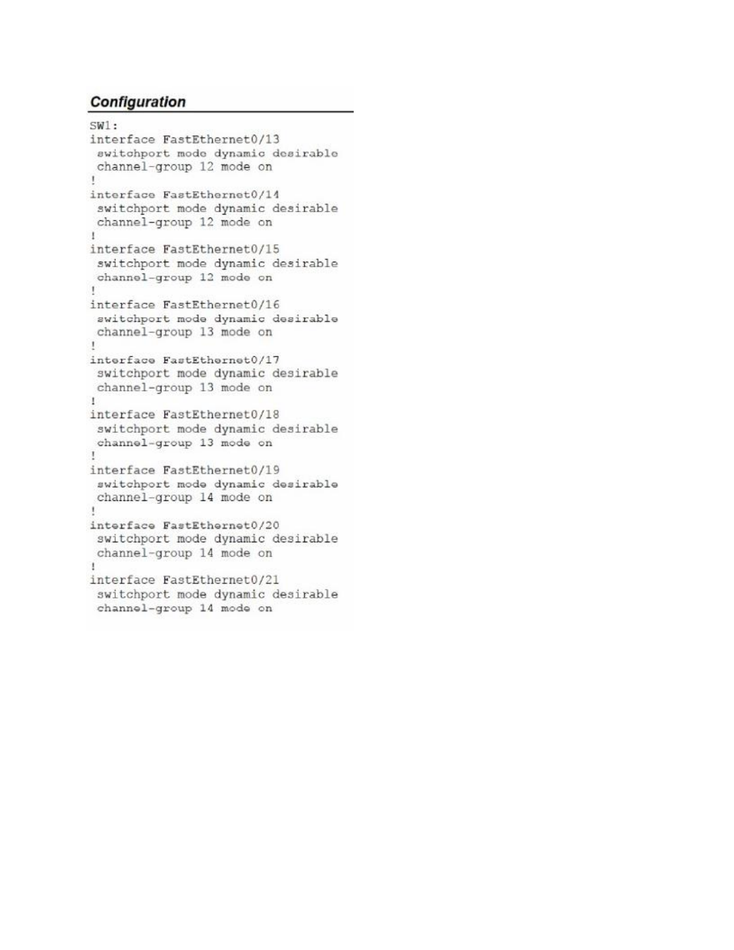```
SW1:interface FastEthernet0/13
 switchport mode dynamic desirable
 channel-group 12 mode on
L
interface FastEthernet0/14
 switchport mode dynamic desirable
 channel-group 12 mode on
T
interface FastEthernet0/15
 switchport mode dynamic desirable
 channel-group 12 mode on
Ţ
interface FastEthernet0/16
 switchport mode dynamic desirable
 channel-group 13 mode on
\mathbf{I}interface FastEthernet0/17
 switchport mode dynamic desirable
 channel-group 13 mode on
\mathbf{I}interface FastEthernet0/18
 switchport mode dynamic desirable
 channel-group 13 mode on
Ţ
interface FastEthernet0/19
 switchport mode dynamic desirable
channel-group 14 mode on
÷
interface FastEthernet0/20
 switchport mode dynamic desirable
 channel-group 14 mode on
Ť
interface FastEthernet0/21
 switchport mode dynamic desirable
 channel-group 14 mode on
```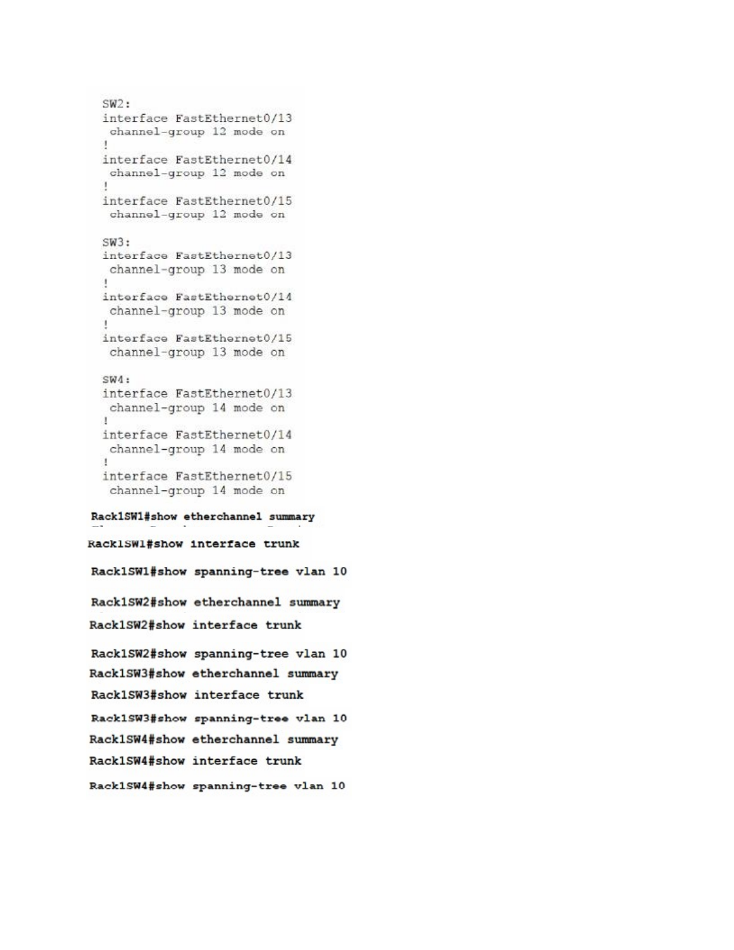```
SW2:interface FastEthernet0/13
  channel-group 12 mode on
 interface FastEthernet0/14
  channel-group 12 mode on
  ٠
 interface FastEthernet0/15
  channel-group 12 mode on
 SW3:interface FastEthernet0/13
  channel-group 13 mode on
  \mathbf{I}interface FastEthernet0/14
  channel-group 13 mode on
 interface FastEthernet0/15
  channel-group 13 mode on
 SW4:interface FastEthernet0/13
  channel-group 14 mode on
 Τ
 interface FastEthernet0/14
  channel-group 14 mode on
  \mathbf{I}interface FastEthernet0/15
  channel-group 14 mode on
Rack1SW1#show etherchannel summary
RacklSWl#show interface trunk
Rack1SW1#show spanning-tree vlan 10
Rack1SW2#show etherchannel summary
Rack1SW2#show interface trunk
Rack1SW2#show spanning-tree vlan 10
Rack1SW3#show etherchannel summary
Rack1SW3#show interface trunk
Rack1SW3#show spanning-tree vlan 10
Rack1SW4#show etherchannel summary
Rack1SW4#show interface trunk
Rack1SW4#show spanning-tree vlan 10
```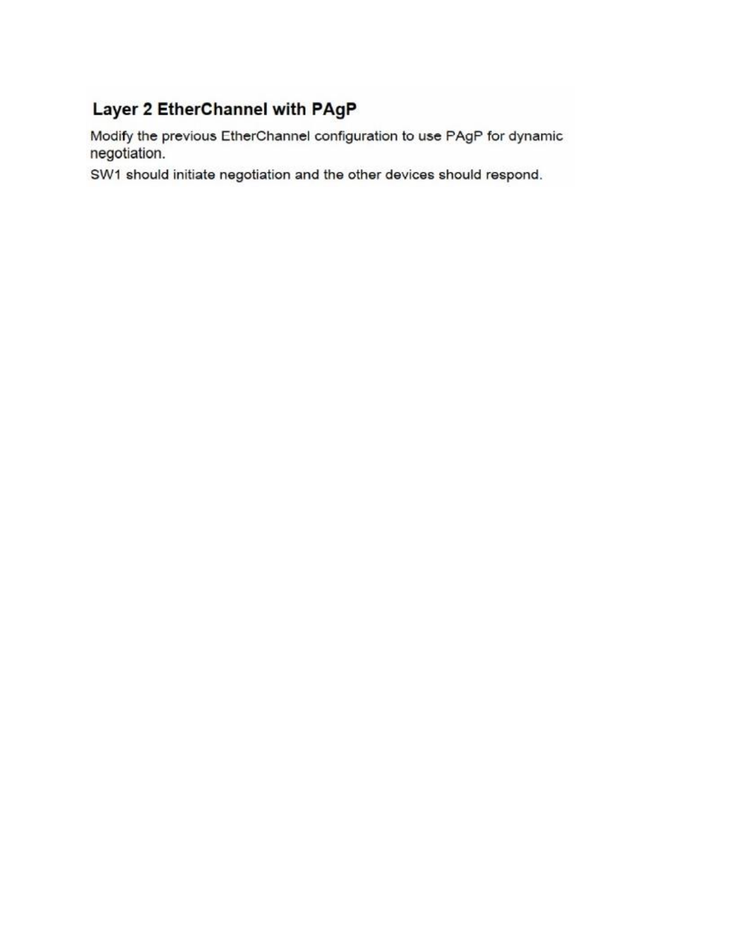# Layer 2 EtherChannel with PAgP

Modify the previous EtherChannel configuration to use PAgP for dynamic negotiation.

SW1 should initiate negotiation and the other devices should respond.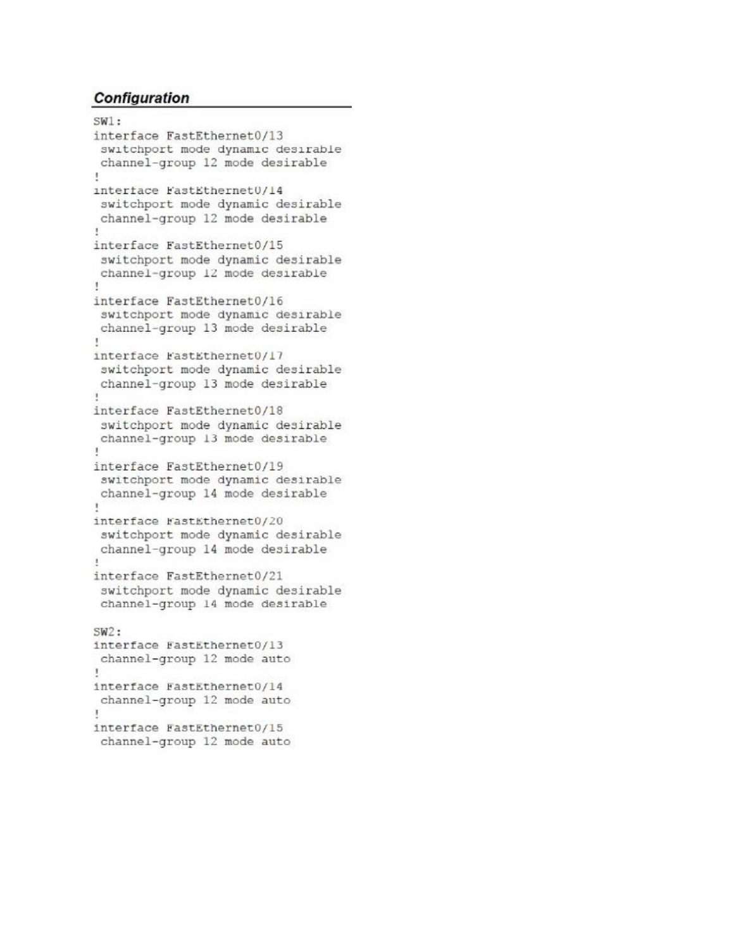```
SW1:interface FastEthernet0/13
 switchport mode dynamic desirable
 channel-group 12 mode desirable
ţ.
interface FastEthernet0/14
 switchport mode dynamic desirable
 channel-group 12 mode desirable
ï
interface FastEthernet0/15
 switchport mode dynamic desirable
 channel-group 12 mode desirable
Ŧ
interface FastEthernet0/16
 switchport mode dynamic desirable
 channel-group 13 mode desirable
Ţ
interface FastEthernet0/17
 switchport mode dynamic desirable
 channel-group 13 mode desirable
ï.
interface FastEthernet0/18
 switchport mode dynamic desirable
 channel-group 13 mode desirable
Ţ
interface FastEthernet0/19
 switchport mode dynamic desirable
 channel-group 14 mode desirable
1
interface FastEthernet0/20
 switchport mode dynamic desirable
 channel-group 14 mode desirable
\mathbf{t}interface FastEthernet0/21
 switchport mode dynamic desirable
 channel-group 14 mode desirable
SW2:interface FastEthernet0/13
 channel-group 12 mode auto
т.
interface FastEthernet0/14
 channel-group 12 mode auto
J.
interface FastEthernet0/15
 channel-group 12 mode auto
```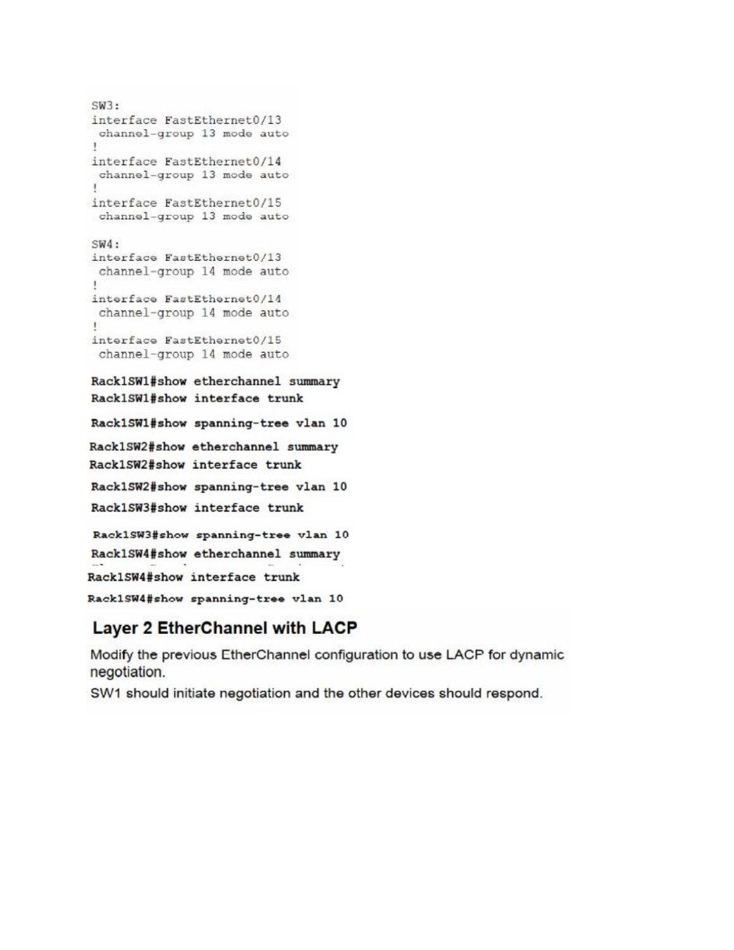```
SW3:interface FastEthernet0/13
 channel-group 13 mode auto
interface FastEthernet0/14
 channel-group 13 mode auto
1
interface FastEthernet0/15
 channel-group 13 mode auto
SW4:interface FastEthernet0/13
 channel-group 14 mode auto
interface FastEthernet0/14
 channel-group 14 mode auto
.
interface FastEthernet0/15
 channel-group 14 mode auto
Rack1SW1#show etherchannel summary
Rack1SW1#show interface trunk
Rack1SW1#show spanning-tree vlan 10
Rack1SW2#show etherchannel summary
Rack1SW2#show interface trunk
Rack1SW2#show spanning-tree vlan 10
Rack1SW3#show interface trunk
Rack1SW3#show spanning-tree vlan 10
Rack1SW4#show etherchannel summary
Rack1SW4#show interface trunk
Rack1SW4#show spanning-tree vlan 10
```
# Layer 2 EtherChannel with LACP

Modify the previous EtherChannel configuration to use LACP for dynamic negotiation.

SW1 should initiate negotiation and the other devices should respond.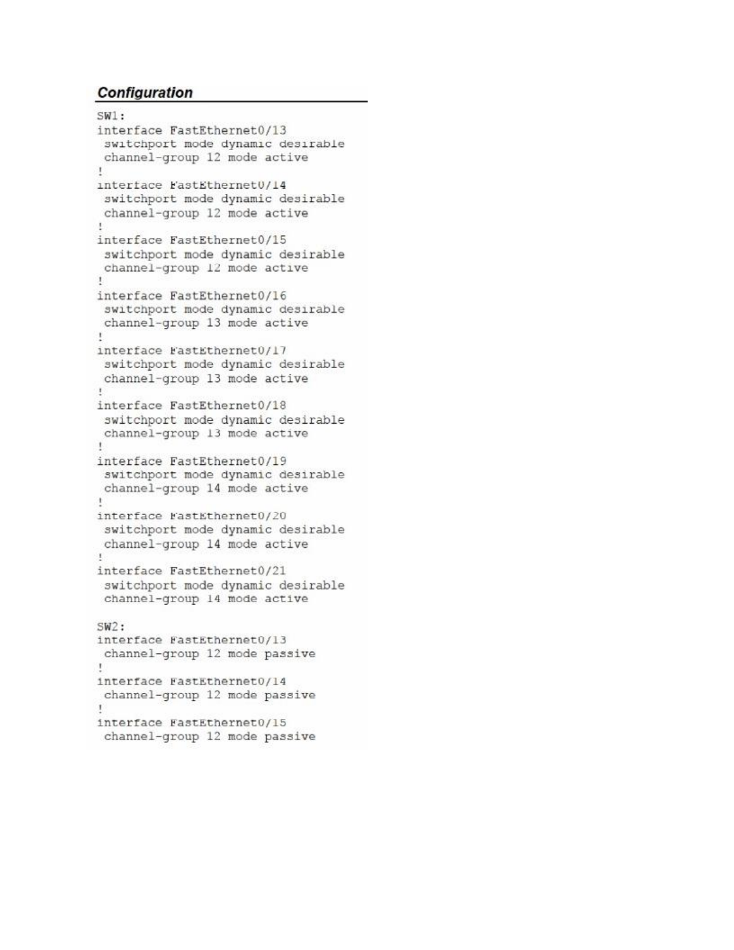```
SW1:interface FastEthernet0/13
 switchport mode dynamic desirable
channel-group 12 mode active
1
interface FastEthernet0/14
 switchport mode dynamic desirable
channel-group 12 mode active
×.
interface FastEthernet0/15
 switchport mode dynamic desirable
channel-group 12 mode active
Ţ.
interface FastEthernet0/16
 switchport mode dynamic desirable
channel-group 13 mode active
\mathbf{I}interface FastEthernet0/17
 switchport mode dynamic desirable
channel-group 13 mode active
X.
interface FastEthernet0/18
switchport mode dynamic desirable
channel-group 13 mode active
\mathbf{r}interface FastEthernet0/19
 switchport mode dynamic desirable
channel-group 14 mode active
Ŧ.
interface FastEthernet0/20
switchport mode dynamic desirable
channel-group 14 mode active
\mathbb{I}interface FastEthernet0/21
 switchport mode dynamic desirable
channel-group 14 mode active
SW2:interface FastEthernet0/13
channel-group 12 mode passive
Ţ.
interface FastEthernet0/14
channel-group 12 mode passive
Ţ
interface FastEthernet0/15
channel-group 12 mode passive
```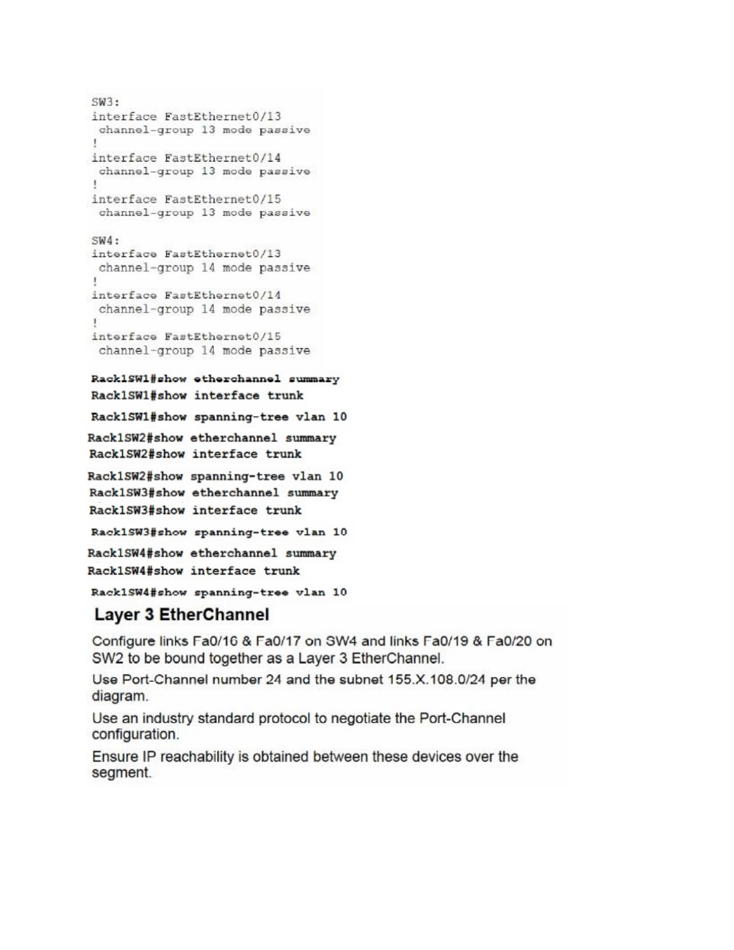```
SW3:interface FastEthernet0/13
 channel-group 13 mode passive
interface FastEthernet0/14
 channel-group 13 mode passive
interface FastEthernet0/15
 channel-group 13 mode passive
SW4:interface FastEthernet0/13
 channel-group 14 mode passive
1.
interface FastEthernet0/14
 channel-group 14 mode passive
interface FastEthernet0/15
 channel-group 14 mode passive
Rack1SW1#show etherchannel summary
Rack1SW1#show interface trunk
Rack1SW1#show spanning-tree vlan 10
Rack1SW2#show etherchannel summary
Rack1SW2#show interface trunk
Rack1SW2#show spanning-tree vlan 10
Rack1SW3#show etherchannel summary
Rack1SW3#show interface trunk
Rack1SW3#show spanning-tree vlan 10
Rack1SW4#show etherchannel summary
```
Rack1SW4#show interface trunk

Rack1SW4#show spanning-tree vlan 10

## **Layer 3 EtherChannel**

Configure links Fa0/16 & Fa0/17 on SW4 and links Fa0/19 & Fa0/20 on SW2 to be bound together as a Layer 3 EtherChannel.

Use Port-Channel number 24 and the subnet 155.X.108.0/24 per the diagram.

Use an industry standard protocol to negotiate the Port-Channel configuration.

Ensure IP reachability is obtained between these devices over the segment.